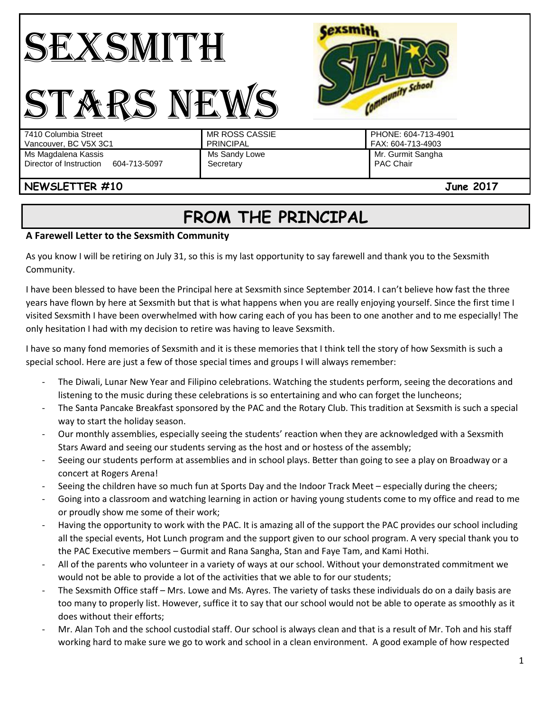



#### PHONE: 604-713-4901 FAX: 604-713-4903 Ms Magdalena Kassis Director of Instruction 604-713-5097 Ms Sandy Lowe **Secretary** Mr. Gurmit Sangha PAC Chair

# **NEWSLETTER #10 June 2017**

# **FROM THE PRINCIPAL**

## **A Farewell Letter to the Sexsmith Community**

As you know I will be retiring on July 31, so this is my last opportunity to say farewell and thank you to the Sexsmith Community.

I have been blessed to have been the Principal here at Sexsmith since September 2014. I can't believe how fast the three years have flown by here at Sexsmith but that is what happens when you are really enjoying yourself. Since the first time I visited Sexsmith I have been overwhelmed with how caring each of you has been to one another and to me especially! The only hesitation I had with my decision to retire was having to leave Sexsmith.

I have so many fond memories of Sexsmith and it is these memories that I think tell the story of how Sexsmith is such a special school. Here are just a few of those special times and groups I will always remember:

- The Diwali, Lunar New Year and Filipino celebrations. Watching the students perform, seeing the decorations and listening to the music during these celebrations is so entertaining and who can forget the luncheons;
- The Santa Pancake Breakfast sponsored by the PAC and the Rotary Club. This tradition at Sexsmith is such a special way to start the holiday season.
- Our monthly assemblies, especially seeing the students' reaction when they are acknowledged with a Sexsmith Stars Award and seeing our students serving as the host and or hostess of the assembly;
- Seeing our students perform at assemblies and in school plays. Better than going to see a play on Broadway or a concert at Rogers Arena!
- Seeing the children have so much fun at Sports Day and the Indoor Track Meet especially during the cheers;
- Going into a classroom and watching learning in action or having young students come to my office and read to me or proudly show me some of their work;
- Having the opportunity to work with the PAC. It is amazing all of the support the PAC provides our school including all the special events, Hot Lunch program and the support given to our school program. A very special thank you to the PAC Executive members – Gurmit and Rana Sangha, Stan and Faye Tam, and Kami Hothi.
- All of the parents who volunteer in a variety of ways at our school. Without your demonstrated commitment we would not be able to provide a lot of the activities that we able to for our students;
- The Sexsmith Office staff Mrs. Lowe and Ms. Ayres. The variety of tasks these individuals do on a daily basis are too many to properly list. However, suffice it to say that our school would not be able to operate as smoothly as it does without their efforts;
- Mr. Alan Toh and the school custodial staff. Our school is always clean and that is a result of Mr. Toh and his staff working hard to make sure we go to work and school in a clean environment. A good example of how respected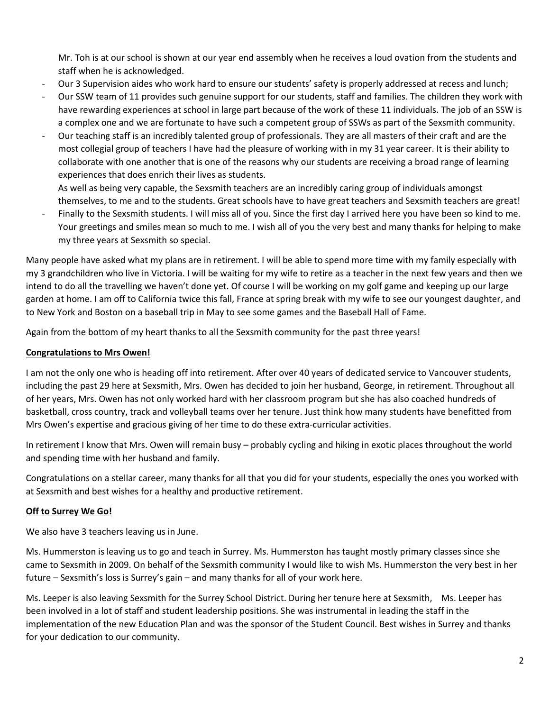Mr. Toh is at our school is shown at our year end assembly when he receives a loud ovation from the students and staff when he is acknowledged.

- Our 3 Supervision aides who work hard to ensure our students' safety is properly addressed at recess and lunch;
- Our SSW team of 11 provides such genuine support for our students, staff and families. The children they work with have rewarding experiences at school in large part because of the work of these 11 individuals. The job of an SSW is a complex one and we are fortunate to have such a competent group of SSWs as part of the Sexsmith community.
- Our teaching staff is an incredibly talented group of professionals. They are all masters of their craft and are the most collegial group of teachers I have had the pleasure of working with in my 31 year career. It is their ability to collaborate with one another that is one of the reasons why our students are receiving a broad range of learning experiences that does enrich their lives as students.

As well as being very capable, the Sexsmith teachers are an incredibly caring group of individuals amongst

themselves, to me and to the students. Great schools have to have great teachers and Sexsmith teachers are great! - Finally to the Sexsmith students. I will miss all of you. Since the first day I arrived here you have been so kind to me. Your greetings and smiles mean so much to me. I wish all of you the very best and many thanks for helping to make my three years at Sexsmith so special.

Many people have asked what my plans are in retirement. I will be able to spend more time with my family especially with my 3 grandchildren who live in Victoria. I will be waiting for my wife to retire as a teacher in the next few years and then we intend to do all the travelling we haven't done yet. Of course I will be working on my golf game and keeping up our large garden at home. I am off to California twice this fall, France at spring break with my wife to see our youngest daughter, and to New York and Boston on a baseball trip in May to see some games and the Baseball Hall of Fame.

Again from the bottom of my heart thanks to all the Sexsmith community for the past three years!

#### **Congratulations to Mrs Owen!**

I am not the only one who is heading off into retirement. After over 40 years of dedicated service to Vancouver students, including the past 29 here at Sexsmith, Mrs. Owen has decided to join her husband, George, in retirement. Throughout all of her years, Mrs. Owen has not only worked hard with her classroom program but she has also coached hundreds of basketball, cross country, track and volleyball teams over her tenure. Just think how many students have benefitted from Mrs Owen's expertise and gracious giving of her time to do these extra-curricular activities.

In retirement I know that Mrs. Owen will remain busy – probably cycling and hiking in exotic places throughout the world and spending time with her husband and family.

Congratulations on a stellar career, many thanks for all that you did for your students, especially the ones you worked with at Sexsmith and best wishes for a healthy and productive retirement.

#### **Off to Surrey We Go!**

We also have 3 teachers leaving us in June.

Ms. Hummerston is leaving us to go and teach in Surrey. Ms. Hummerston has taught mostly primary classes since she came to Sexsmith in 2009. On behalf of the Sexsmith community I would like to wish Ms. Hummerston the very best in her future – Sexsmith's loss is Surrey's gain – and many thanks for all of your work here.

Ms. Leeper is also leaving Sexsmith for the Surrey School District. During her tenure here at Sexsmith, Ms. Leeper has been involved in a lot of staff and student leadership positions. She was instrumental in leading the staff in the implementation of the new Education Plan and was the sponsor of the Student Council. Best wishes in Surrey and thanks for your dedication to our community.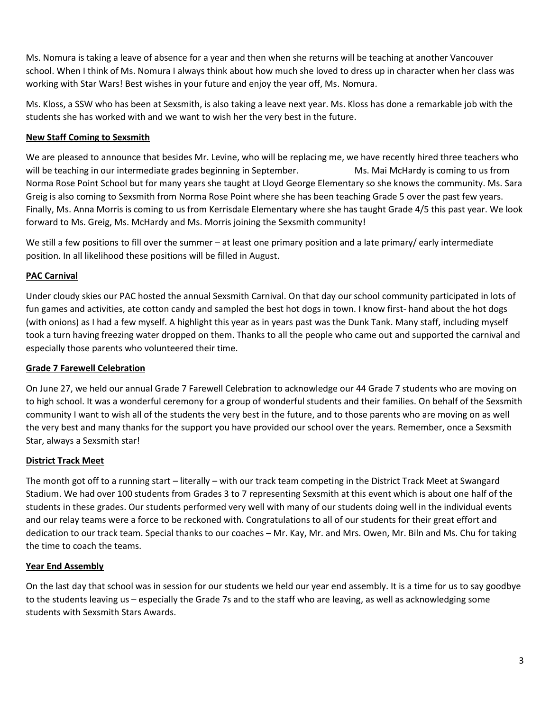Ms. Nomura is taking a leave of absence for a year and then when she returns will be teaching at another Vancouver school. When I think of Ms. Nomura I always think about how much she loved to dress up in character when her class was working with Star Wars! Best wishes in your future and enjoy the year off, Ms. Nomura.

Ms. Kloss, a SSW who has been at Sexsmith, is also taking a leave next year. Ms. Kloss has done a remarkable job with the students she has worked with and we want to wish her the very best in the future.

### **New Staff Coming to Sexsmith**

We are pleased to announce that besides Mr. Levine, who will be replacing me, we have recently hired three teachers who will be teaching in our intermediate grades beginning in September. Ms. Mai McHardy is coming to us from Norma Rose Point School but for many years she taught at Lloyd George Elementary so she knows the community. Ms. Sara Greig is also coming to Sexsmith from Norma Rose Point where she has been teaching Grade 5 over the past few years. Finally, Ms. Anna Morris is coming to us from Kerrisdale Elementary where she has taught Grade 4/5 this past year. We look forward to Ms. Greig, Ms. McHardy and Ms. Morris joining the Sexsmith community!

We still a few positions to fill over the summer – at least one primary position and a late primary/ early intermediate position. In all likelihood these positions will be filled in August.

### **PAC Carnival**

Under cloudy skies our PAC hosted the annual Sexsmith Carnival. On that day our school community participated in lots of fun games and activities, ate cotton candy and sampled the best hot dogs in town. I know first- hand about the hot dogs (with onions) as I had a few myself. A highlight this year as in years past was the Dunk Tank. Many staff, including myself took a turn having freezing water dropped on them. Thanks to all the people who came out and supported the carnival and especially those parents who volunteered their time.

#### **Grade 7 Farewell Celebration**

On June 27, we held our annual Grade 7 Farewell Celebration to acknowledge our 44 Grade 7 students who are moving on to high school. It was a wonderful ceremony for a group of wonderful students and their families. On behalf of the Sexsmith community I want to wish all of the students the very best in the future, and to those parents who are moving on as well the very best and many thanks for the support you have provided our school over the years. Remember, once a Sexsmith Star, always a Sexsmith star!

#### **District Track Meet**

The month got off to a running start – literally – with our track team competing in the District Track Meet at Swangard Stadium. We had over 100 students from Grades 3 to 7 representing Sexsmith at this event which is about one half of the students in these grades. Our students performed very well with many of our students doing well in the individual events and our relay teams were a force to be reckoned with. Congratulations to all of our students for their great effort and dedication to our track team. Special thanks to our coaches – Mr. Kay, Mr. and Mrs. Owen, Mr. Biln and Ms. Chu for taking the time to coach the teams.

#### **Year End Assembly**

On the last day that school was in session for our students we held our year end assembly. It is a time for us to say goodbye to the students leaving us – especially the Grade 7s and to the staff who are leaving, as well as acknowledging some students with Sexsmith Stars Awards.